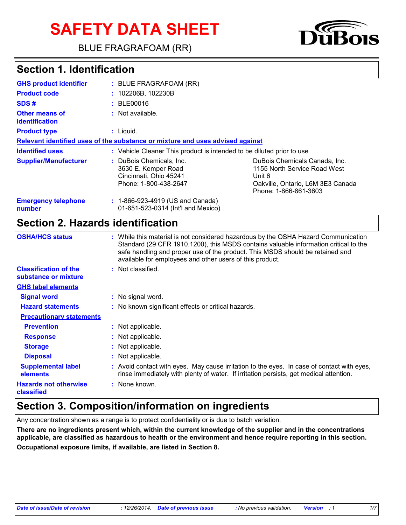# **SAFETY DATA SHEET**

BLUE FRAGRAFOAM (RR)

## **Section 1. Identification**

| <b>GHS product identifier</b>           | $:$ BLUE FRAGRAFOAM (RR)                                                                           |                                                                                                                                       |
|-----------------------------------------|----------------------------------------------------------------------------------------------------|---------------------------------------------------------------------------------------------------------------------------------------|
| <b>Product code</b>                     | : 102206B, 102230B                                                                                 |                                                                                                                                       |
| SDS#                                    | : BE00016                                                                                          |                                                                                                                                       |
| <b>Other means of</b><br>identification | : Not available.                                                                                   |                                                                                                                                       |
| <b>Product type</b>                     | $:$ Liquid.                                                                                        |                                                                                                                                       |
|                                         | Relevant identified uses of the substance or mixture and uses advised against                      |                                                                                                                                       |
| <b>Identified uses</b>                  | : Vehicle Cleaner This product is intended to be diluted prior to use                              |                                                                                                                                       |
| <b>Supplier/Manufacturer</b>            | : DuBois Chemicals, Inc.<br>3630 E. Kemper Road<br>Cincinnati, Ohio 45241<br>Phone: 1-800-438-2647 | DuBois Chemicals Canada, Inc.<br>1155 North Service Road West<br>Unit 6<br>Oakville, Ontario, L6M 3E3 Canada<br>Phone: 1-866-861-3603 |
| <b>Emergency telephone</b><br>number    | : 1-866-923-4919 (US and Canada)<br>01-651-523-0314 (Int'l and Mexico)                             |                                                                                                                                       |

#### **Section 2. Hazards identification**

| <b>OSHA/HCS status</b>                               | : While this material is not considered hazardous by the OSHA Hazard Communication<br>Standard (29 CFR 1910.1200), this MSDS contains valuable information critical to the<br>safe handling and proper use of the product. This MSDS should be retained and<br>available for employees and other users of this product. |
|------------------------------------------------------|-------------------------------------------------------------------------------------------------------------------------------------------------------------------------------------------------------------------------------------------------------------------------------------------------------------------------|
| <b>Classification of the</b><br>substance or mixture | : Not classified.                                                                                                                                                                                                                                                                                                       |
| <b>GHS label elements</b>                            |                                                                                                                                                                                                                                                                                                                         |
| <b>Signal word</b>                                   | : No signal word.                                                                                                                                                                                                                                                                                                       |
| <b>Hazard statements</b>                             | : No known significant effects or critical hazards.                                                                                                                                                                                                                                                                     |
| <b>Precautionary statements</b>                      |                                                                                                                                                                                                                                                                                                                         |
| <b>Prevention</b>                                    | : Not applicable.                                                                                                                                                                                                                                                                                                       |
| <b>Response</b>                                      | : Not applicable.                                                                                                                                                                                                                                                                                                       |
| <b>Storage</b>                                       | : Not applicable.                                                                                                                                                                                                                                                                                                       |
| <b>Disposal</b>                                      | : Not applicable.                                                                                                                                                                                                                                                                                                       |
| <b>Supplemental label</b><br>elements                | : Avoid contact with eyes. May cause irritation to the eyes. In case of contact with eyes,<br>rinse immediately with plenty of water. If irritation persists, get medical attention.                                                                                                                                    |
| <b>Hazards not otherwise</b><br>classified           | : None known.                                                                                                                                                                                                                                                                                                           |

## **Section 3. Composition/information on ingredients**

Any concentration shown as a range is to protect confidentiality or is due to batch variation.

**There are no ingredients present which, within the current knowledge of the supplier and in the concentrations applicable, are classified as hazardous to health or the environment and hence require reporting in this section. Occupational exposure limits, if available, are listed in Section 8.**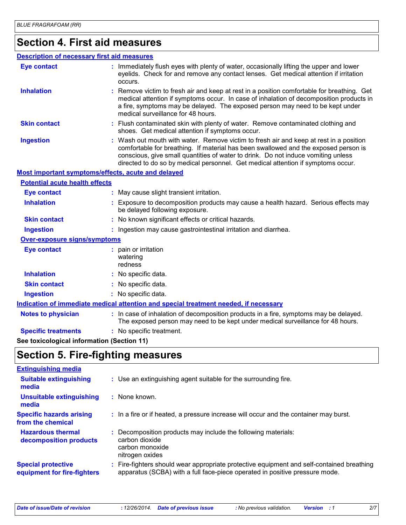## **Section 4. First aid measures**

#### **Description of necessary first aid measures**

| <b>Eye contact</b>                                 | : Immediately flush eyes with plenty of water, occasionally lifting the upper and lower<br>eyelids. Check for and remove any contact lenses. Get medical attention if irritation<br>occurs.                                                                                                                                                            |
|----------------------------------------------------|--------------------------------------------------------------------------------------------------------------------------------------------------------------------------------------------------------------------------------------------------------------------------------------------------------------------------------------------------------|
| <b>Inhalation</b>                                  | : Remove victim to fresh air and keep at rest in a position comfortable for breathing. Get<br>medical attention if symptoms occur. In case of inhalation of decomposition products in<br>a fire, symptoms may be delayed. The exposed person may need to be kept under<br>medical surveillance for 48 hours.                                           |
| <b>Skin contact</b>                                | : Flush contaminated skin with plenty of water. Remove contaminated clothing and<br>shoes. Get medical attention if symptoms occur.                                                                                                                                                                                                                    |
| <b>Ingestion</b>                                   | : Wash out mouth with water. Remove victim to fresh air and keep at rest in a position<br>comfortable for breathing. If material has been swallowed and the exposed person is<br>conscious, give small quantities of water to drink. Do not induce vomiting unless<br>directed to do so by medical personnel. Get medical attention if symptoms occur. |
| Most important symptoms/effects, acute and delayed |                                                                                                                                                                                                                                                                                                                                                        |
| <b>Potential acute health effects</b>              |                                                                                                                                                                                                                                                                                                                                                        |
| <b>Eye contact</b>                                 | : May cause slight transient irritation.                                                                                                                                                                                                                                                                                                               |
| <b>Inhalation</b>                                  | : Exposure to decomposition products may cause a health hazard. Serious effects may<br>be delayed following exposure.                                                                                                                                                                                                                                  |
| <b>Skin contact</b>                                | : No known significant effects or critical hazards.                                                                                                                                                                                                                                                                                                    |
| <b>Ingestion</b>                                   | : Ingestion may cause gastrointestinal irritation and diarrhea.                                                                                                                                                                                                                                                                                        |
| Over-exposure signs/symptoms                       |                                                                                                                                                                                                                                                                                                                                                        |
| <b>Eye contact</b>                                 | : pain or irritation<br>watering<br>redness                                                                                                                                                                                                                                                                                                            |
| <b>Inhalation</b>                                  | : No specific data.                                                                                                                                                                                                                                                                                                                                    |
| <b>Skin contact</b>                                | : No specific data.                                                                                                                                                                                                                                                                                                                                    |
| <b>Ingestion</b>                                   | : No specific data.                                                                                                                                                                                                                                                                                                                                    |
|                                                    | Indication of immediate medical attention and special treatment needed, if necessary                                                                                                                                                                                                                                                                   |
| <b>Notes to physician</b>                          | : In case of inhalation of decomposition products in a fire, symptoms may be delayed.<br>The exposed person may need to be kept under medical surveillance for 48 hours.                                                                                                                                                                               |
| <b>Specific treatments</b>                         | : No specific treatment.                                                                                                                                                                                                                                                                                                                               |

**See toxicological information (Section 11)**

## **Section 5. Fire-fighting measures**

| <b>Extinguishing media</b>                               |                                                                                                                                                                        |
|----------------------------------------------------------|------------------------------------------------------------------------------------------------------------------------------------------------------------------------|
| <b>Suitable extinguishing</b><br>media                   | : Use an extinguishing agent suitable for the surrounding fire.                                                                                                        |
| Unsuitable extinguishing<br>media                        | : None known.                                                                                                                                                          |
| <b>Specific hazards arising</b><br>from the chemical     | : In a fire or if heated, a pressure increase will occur and the container may burst.                                                                                  |
| <b>Hazardous thermal</b><br>decomposition products       | Decomposition products may include the following materials:<br>carbon dioxide<br>carbon monoxide<br>nitrogen oxides                                                    |
| <b>Special protective</b><br>equipment for fire-fighters | Fire-fighters should wear appropriate protective equipment and self-contained breathing<br>apparatus (SCBA) with a full face-piece operated in positive pressure mode. |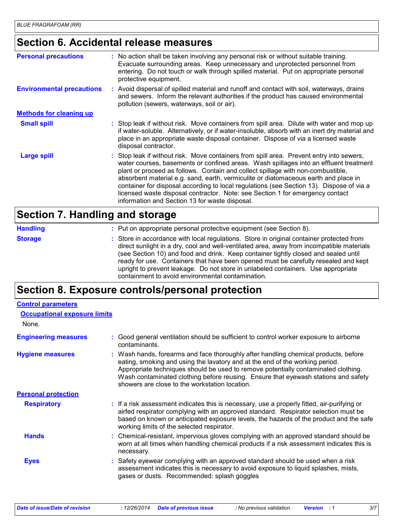## **Section 6. Accidental release measures**

| <b>Personal precautions</b>      | : No action shall be taken involving any personal risk or without suitable training.<br>Evacuate surrounding areas. Keep unnecessary and unprotected personnel from<br>entering. Do not touch or walk through spilled material. Put on appropriate personal<br>protective equipment.                                                                                                                                                                                                                                                                                                       |
|----------------------------------|--------------------------------------------------------------------------------------------------------------------------------------------------------------------------------------------------------------------------------------------------------------------------------------------------------------------------------------------------------------------------------------------------------------------------------------------------------------------------------------------------------------------------------------------------------------------------------------------|
| <b>Environmental precautions</b> | : Avoid dispersal of spilled material and runoff and contact with soil, waterways, drains<br>and sewers. Inform the relevant authorities if the product has caused environmental<br>pollution (sewers, waterways, soil or air).                                                                                                                                                                                                                                                                                                                                                            |
| <b>Methods for cleaning up</b>   |                                                                                                                                                                                                                                                                                                                                                                                                                                                                                                                                                                                            |
| <b>Small spill</b>               | : Stop leak if without risk. Move containers from spill area. Dilute with water and mop up<br>if water-soluble. Alternatively, or if water-insoluble, absorb with an inert dry material and<br>place in an appropriate waste disposal container. Dispose of via a licensed waste<br>disposal contractor.                                                                                                                                                                                                                                                                                   |
| <b>Large spill</b>               | : Stop leak if without risk. Move containers from spill area. Prevent entry into sewers,<br>water courses, basements or confined areas. Wash spillages into an effluent treatment<br>plant or proceed as follows. Contain and collect spillage with non-combustible,<br>absorbent material e.g. sand, earth, vermiculite or diatomaceous earth and place in<br>container for disposal according to local regulations (see Section 13). Dispose of via a<br>licensed waste disposal contractor. Note: see Section 1 for emergency contact<br>information and Section 13 for waste disposal. |

#### **Section 7. Handling and storage**

| <b>Handling</b> | : Put on appropriate personal protective equipment (see Section 8).                                                                                                                                                                                                                                                                                                                                                                                                                                           |
|-----------------|---------------------------------------------------------------------------------------------------------------------------------------------------------------------------------------------------------------------------------------------------------------------------------------------------------------------------------------------------------------------------------------------------------------------------------------------------------------------------------------------------------------|
| <b>Storage</b>  | : Store in accordance with local regulations. Store in original container protected from<br>direct sunlight in a dry, cool and well-ventilated area, away from incompatible materials<br>(see Section 10) and food and drink. Keep container tightly closed and sealed until<br>ready for use. Containers that have been opened must be carefully resealed and kept<br>upright to prevent leakage. Do not store in unlabeled containers. Use appropriate<br>containment to avoid environmental contamination. |

#### **Section 8. Exposure controls/personal protection**

| <b>Occupational exposure limits</b>                                                                                                                                                                                                                                                                                                                                                               |
|---------------------------------------------------------------------------------------------------------------------------------------------------------------------------------------------------------------------------------------------------------------------------------------------------------------------------------------------------------------------------------------------------|
|                                                                                                                                                                                                                                                                                                                                                                                                   |
| Good general ventilation should be sufficient to control worker exposure to airborne<br>contaminants.                                                                                                                                                                                                                                                                                             |
| : Wash hands, forearms and face thoroughly after handling chemical products, before<br>eating, smoking and using the lavatory and at the end of the working period.<br>Appropriate techniques should be used to remove potentially contaminated clothing.<br>Wash contaminated clothing before reusing. Ensure that eyewash stations and safety<br>showers are close to the workstation location. |
|                                                                                                                                                                                                                                                                                                                                                                                                   |
| : If a risk assessment indicates this is necessary, use a properly fitted, air-purifying or<br>airfed respirator complying with an approved standard. Respirator selection must be<br>based on known or anticipated exposure levels, the hazards of the product and the safe<br>working limits of the selected respirator.                                                                        |
| : Chemical-resistant, impervious gloves complying with an approved standard should be<br>worn at all times when handling chemical products if a risk assessment indicates this is<br>necessary.                                                                                                                                                                                                   |
| : Safety eyewear complying with an approved standard should be used when a risk<br>assessment indicates this is necessary to avoid exposure to liquid splashes, mists,<br>gases or dusts. Recommended: splash goggles                                                                                                                                                                             |
|                                                                                                                                                                                                                                                                                                                                                                                                   |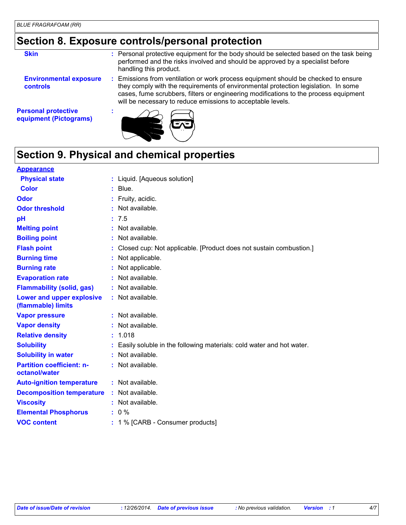## **Section 8. Exposure controls/personal protection**

| <b>Skin</b>                                          | : Personal protective equipment for the body should be selected based on the task being<br>performed and the risks involved and should be approved by a specialist before<br>handling this product.                                                                                                                           |
|------------------------------------------------------|-------------------------------------------------------------------------------------------------------------------------------------------------------------------------------------------------------------------------------------------------------------------------------------------------------------------------------|
| <b>Environmental exposure</b><br><b>controls</b>     | Emissions from ventilation or work process equipment should be checked to ensure<br>they comply with the requirements of environmental protection legislation. In some<br>cases, fume scrubbers, filters or engineering modifications to the process equipment<br>will be necessary to reduce emissions to acceptable levels. |
| <b>Personal protective</b><br>equipment (Pictograms) |                                                                                                                                                                                                                                                                                                                               |

## **Section 9. Physical and chemical properties**

| <b>Appearance</b>                                 |    |                                                                      |
|---------------------------------------------------|----|----------------------------------------------------------------------|
| <b>Physical state</b>                             |    | : Liquid. [Aqueous solution]                                         |
| <b>Color</b>                                      |    | $:$ Blue.                                                            |
| Odor                                              |    | Fruity, acidic.                                                      |
| <b>Odor threshold</b>                             |    | Not available.                                                       |
| pH                                                |    | : 7.5                                                                |
| <b>Melting point</b>                              | t. | Not available.                                                       |
| <b>Boiling point</b>                              |    | Not available.                                                       |
| <b>Flash point</b>                                |    | Closed cup: Not applicable. [Product does not sustain combustion.]   |
| <b>Burning time</b>                               |    | : Not applicable.                                                    |
| <b>Burning rate</b>                               |    | Not applicable.                                                      |
| <b>Evaporation rate</b>                           |    | Not available.                                                       |
| <b>Flammability (solid, gas)</b>                  |    | : Not available.                                                     |
| Lower and upper explosive<br>(flammable) limits   |    | : Not available.                                                     |
| <b>Vapor pressure</b>                             |    | : Not available.                                                     |
| <b>Vapor density</b>                              |    | : Not available.                                                     |
| <b>Relative density</b>                           | t. | 1.018                                                                |
| <b>Solubility</b>                                 |    | Easily soluble in the following materials: cold water and hot water. |
| <b>Solubility in water</b>                        | t. | Not available.                                                       |
| <b>Partition coefficient: n-</b><br>octanol/water |    | Not available.                                                       |
| <b>Auto-ignition temperature</b>                  |    | $:$ Not available.                                                   |
| <b>Decomposition temperature</b>                  |    | Not available.                                                       |
| <b>Viscosity</b>                                  |    | : Not available.                                                     |
| <b>Elemental Phosphorus</b>                       |    | $: 0 \%$                                                             |
| <b>VOC content</b>                                |    | : 1 % [CARB - Consumer products]                                     |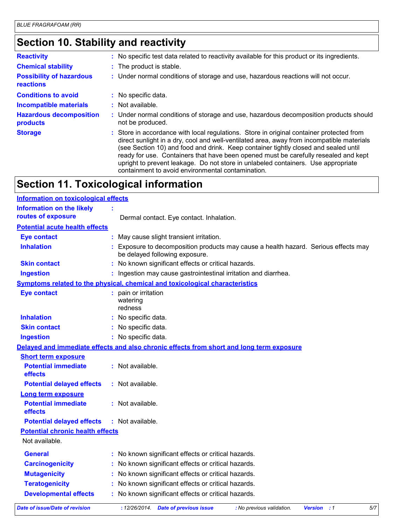## **Section 10. Stability and reactivity**

| <b>Reactivity</b>                            | : No specific test data related to reactivity available for this product or its ingredients.                                                                                                                                                                                                                                                                                                                                                                                                                  |
|----------------------------------------------|---------------------------------------------------------------------------------------------------------------------------------------------------------------------------------------------------------------------------------------------------------------------------------------------------------------------------------------------------------------------------------------------------------------------------------------------------------------------------------------------------------------|
| <b>Chemical stability</b>                    | : The product is stable.                                                                                                                                                                                                                                                                                                                                                                                                                                                                                      |
| <b>Possibility of hazardous</b><br>reactions | : Under normal conditions of storage and use, hazardous reactions will not occur.                                                                                                                                                                                                                                                                                                                                                                                                                             |
| <b>Conditions to avoid</b>                   | : No specific data.                                                                                                                                                                                                                                                                                                                                                                                                                                                                                           |
| <b>Incompatible materials</b>                | $:$ Not available.                                                                                                                                                                                                                                                                                                                                                                                                                                                                                            |
| <b>Hazardous decomposition</b><br>products   | : Under normal conditions of storage and use, hazardous decomposition products should<br>not be produced.                                                                                                                                                                                                                                                                                                                                                                                                     |
| <b>Storage</b>                               | : Store in accordance with local regulations. Store in original container protected from<br>direct sunlight in a dry, cool and well-ventilated area, away from incompatible materials<br>(see Section 10) and food and drink. Keep container tightly closed and sealed until<br>ready for use. Containers that have been opened must be carefully resealed and kept<br>upright to prevent leakage. Do not store in unlabeled containers. Use appropriate<br>containment to avoid environmental contamination. |

## **Section 11. Toxicological information**

| <b>Information on toxicological effects</b> |                                                                                                                     |
|---------------------------------------------|---------------------------------------------------------------------------------------------------------------------|
| <b>Information on the likely</b>            |                                                                                                                     |
| routes of exposure                          | Dermal contact. Eye contact. Inhalation.                                                                            |
| <b>Potential acute health effects</b>       |                                                                                                                     |
| <b>Eye contact</b>                          | May cause slight transient irritation.                                                                              |
| <b>Inhalation</b>                           | Exposure to decomposition products may cause a health hazard. Serious effects may<br>be delayed following exposure. |
| <b>Skin contact</b>                         | : No known significant effects or critical hazards.                                                                 |
| <b>Ingestion</b>                            | Ingestion may cause gastrointestinal irritation and diarrhea.                                                       |
|                                             | Symptoms related to the physical, chemical and toxicological characteristics                                        |
| <b>Eye contact</b>                          | : pain or irritation<br>watering<br>redness                                                                         |
| <b>Inhalation</b>                           | : No specific data.                                                                                                 |
| <b>Skin contact</b>                         | : No specific data.                                                                                                 |
| <b>Ingestion</b>                            | : No specific data.                                                                                                 |
|                                             | Delayed and immediate effects and also chronic effects from short and long term exposure                            |
| <b>Short term exposure</b>                  |                                                                                                                     |
| <b>Potential immediate</b><br>effects       | : Not available.                                                                                                    |
| <b>Potential delayed effects</b>            | : Not available.                                                                                                    |
| <b>Long term exposure</b>                   |                                                                                                                     |
| <b>Potential immediate</b><br>effects       | : Not available.                                                                                                    |
| <b>Potential delayed effects</b>            | : Not available.                                                                                                    |
| <b>Potential chronic health effects</b>     |                                                                                                                     |
| Not available.                              |                                                                                                                     |
| <b>General</b>                              | : No known significant effects or critical hazards.                                                                 |
| <b>Carcinogenicity</b>                      | : No known significant effects or critical hazards.                                                                 |
| <b>Mutagenicity</b>                         | No known significant effects or critical hazards.                                                                   |
| <b>Teratogenicity</b>                       | No known significant effects or critical hazards.                                                                   |
| <b>Developmental effects</b>                | No known significant effects or critical hazards.                                                                   |
|                                             | $\cdots$                                                                                                            |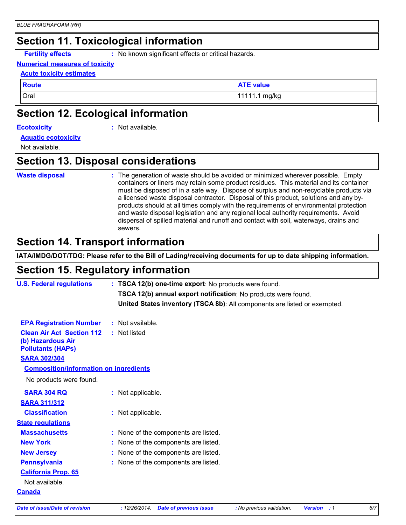#### **Section 11. Toxicological information**

**Fertility effects :** No known significant effects or critical hazards.

#### **Numerical measures of toxicity**

#### **Acute toxicity estimates**

**Route ATE** value

Oral 11111.1 mg/kg

#### **Section 12. Ecological information**

#### **Ecotoxicity :**

: Not available.

#### **Aquatic ecotoxicity**

Not available.

#### **Section 13. Disposal considerations**

#### **Waste disposal :**

The generation of waste should be avoided or minimized wherever possible. Empty containers or liners may retain some product residues. This material and its container must be disposed of in a safe way. Dispose of surplus and non-recyclable products via a licensed waste disposal contractor. Disposal of this product, solutions and any byproducts should at all times comply with the requirements of environmental protection and waste disposal legislation and any regional local authority requirements. Avoid dispersal of spilled material and runoff and contact with soil, waterways, drains and sewers.

#### **Section 14. Transport information**

**IATA/IMDG/DOT/TDG: Please refer to the Bill of Lading/receiving documents for up to date shipping information.**

#### **Section 15. Regulatory information**

| TSCA 12(b) annual export notification: No products were found.<br>United States inventory (TSCA 8b): All components are listed or exempted.<br><b>EPA Registration Number</b><br>: Not available.<br><b>Clean Air Act Section 112</b><br>: Not listed<br>(b) Hazardous Air<br><b>Pollutants (HAPs)</b><br><b>SARA 302/304</b><br><b>Composition/information on ingredients</b><br>No products were found.<br><b>SARA 304 RQ</b><br>: Not applicable. | <b>U.S. Federal regulations</b> | : TSCA 12(b) one-time export: No products were found. |  |
|------------------------------------------------------------------------------------------------------------------------------------------------------------------------------------------------------------------------------------------------------------------------------------------------------------------------------------------------------------------------------------------------------------------------------------------------------|---------------------------------|-------------------------------------------------------|--|
|                                                                                                                                                                                                                                                                                                                                                                                                                                                      |                                 |                                                       |  |
|                                                                                                                                                                                                                                                                                                                                                                                                                                                      |                                 |                                                       |  |
|                                                                                                                                                                                                                                                                                                                                                                                                                                                      |                                 |                                                       |  |
|                                                                                                                                                                                                                                                                                                                                                                                                                                                      |                                 |                                                       |  |
|                                                                                                                                                                                                                                                                                                                                                                                                                                                      |                                 |                                                       |  |
|                                                                                                                                                                                                                                                                                                                                                                                                                                                      |                                 |                                                       |  |
|                                                                                                                                                                                                                                                                                                                                                                                                                                                      |                                 |                                                       |  |
|                                                                                                                                                                                                                                                                                                                                                                                                                                                      |                                 |                                                       |  |
| <b>SARA 311/312</b>                                                                                                                                                                                                                                                                                                                                                                                                                                  |                                 |                                                       |  |
| <b>Classification</b><br>: Not applicable.                                                                                                                                                                                                                                                                                                                                                                                                           |                                 |                                                       |  |
| <b>State regulations</b>                                                                                                                                                                                                                                                                                                                                                                                                                             |                                 |                                                       |  |
| <b>Massachusetts</b><br>: None of the components are listed.                                                                                                                                                                                                                                                                                                                                                                                         |                                 |                                                       |  |
| <b>New York</b><br>: None of the components are listed.                                                                                                                                                                                                                                                                                                                                                                                              |                                 |                                                       |  |
| <b>New Jersey</b><br>: None of the components are listed.                                                                                                                                                                                                                                                                                                                                                                                            |                                 |                                                       |  |
| <b>Pennsylvania</b><br>: None of the components are listed.                                                                                                                                                                                                                                                                                                                                                                                          |                                 |                                                       |  |
| <b>California Prop. 65</b>                                                                                                                                                                                                                                                                                                                                                                                                                           |                                 |                                                       |  |
| Not available.                                                                                                                                                                                                                                                                                                                                                                                                                                       |                                 |                                                       |  |
| <u>Canada</u>                                                                                                                                                                                                                                                                                                                                                                                                                                        |                                 |                                                       |  |